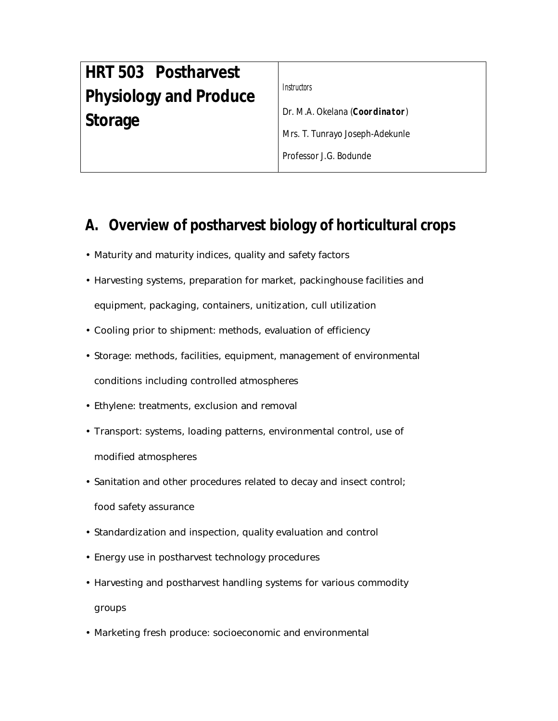| <b>HRT 503 Postharvest</b>    |                                 |
|-------------------------------|---------------------------------|
| <b>Physiology and Produce</b> | <b>Instructors</b>              |
| <b>Storage</b>                | Dr. M.A. Okelana (Coordinator)  |
|                               | Mrs. T. Tunrayo Joseph-Adekunle |
|                               | Professor J.G. Bodunde          |

# **A. Overview of postharvest biology of horticultural crops**

- Maturity and maturity indices, quality and safety factors
- Harvesting systems, preparation for market, packinghouse facilities and equipment, packaging, containers, unitization, cull utilization
- Cooling prior to shipment: methods, evaluation of efficiency
- Storage: methods, facilities, equipment, management of environmental conditions including controlled atmospheres
- Ethylene: treatments, exclusion and removal
- Transport: systems, loading patterns, environmental control, use of modified atmospheres
- Sanitation and other procedures related to decay and insect control; food safety assurance
- Standardization and inspection, quality evaluation and control
- Energy use in postharvest technology procedures
- Harvesting and postharvest handling systems for various commodity groups
- Marketing fresh produce: socioeconomic and environmental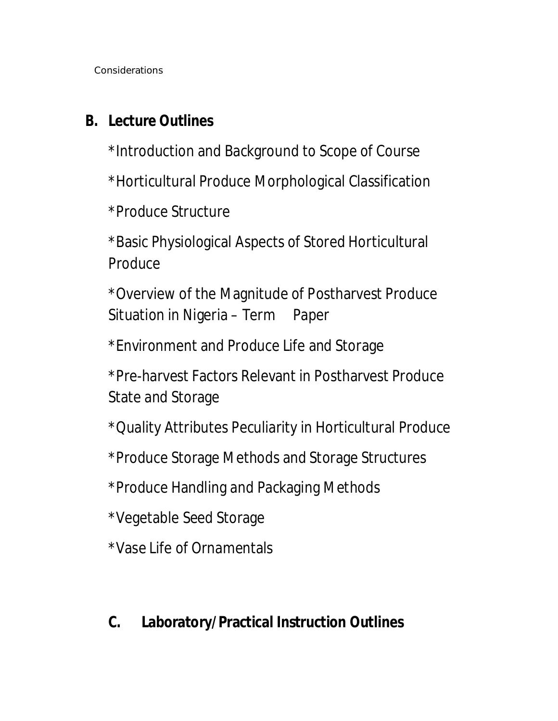Considerations

# **B. Lecture Outlines**

\*Introduction and Background to Scope of Course

\*Horticultural Produce Morphological Classification

\*Produce Structure

\*Basic Physiological Aspects of Stored Horticultural Produce

\*Overview of the Magnitude of Postharvest Produce Situation in Nigeria – Term Paper

\*Environment and Produce Life and Storage

\*Pre-harvest Factors Relevant in Postharvest Produce State and Storage

\*Quality Attributes Peculiarity in Horticultural Produce

\*Produce Storage Methods and Storage Structures

\*Produce Handling and Packaging Methods

\*Vegetable Seed Storage

\*Vase Life of Ornamentals

# **C. Laboratory/Practical Instruction Outlines**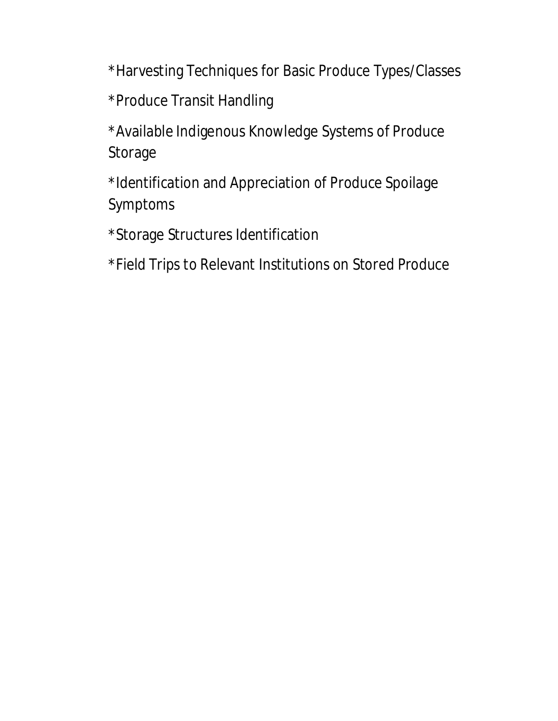\*Harvesting Techniques for Basic Produce Types/Classes

\*Produce Transit Handling

\*Available Indigenous Knowledge Systems of Produce Storage

\*Identification and Appreciation of Produce Spoilage Symptoms

\*Storage Structures Identification

\*Field Trips to Relevant Institutions on Stored Produce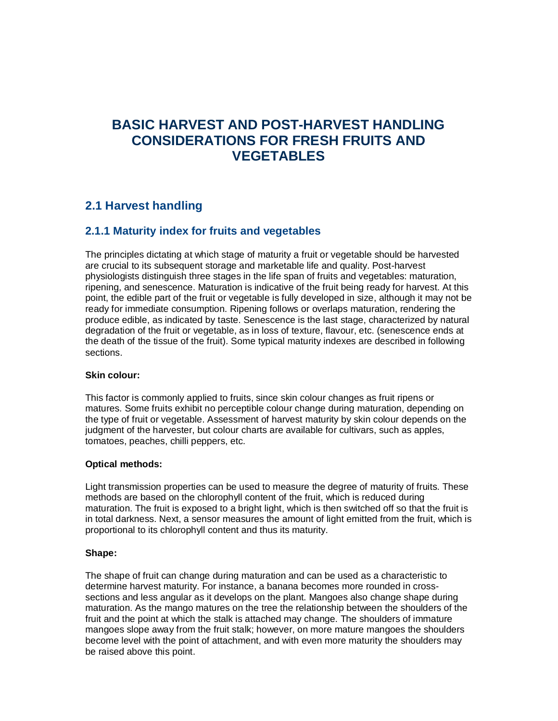# **BASIC HARVEST AND POST-HARVEST HANDLING CONSIDERATIONS FOR FRESH FRUITS AND VEGETABLES**

# **2.1 Harvest handling**

## **2.1.1 Maturity index for fruits and vegetables**

The principles dictating at which stage of maturity a fruit or vegetable should be harvested are crucial to its subsequent storage and marketable life and quality. Post-harvest physiologists distinguish three stages in the life span of fruits and vegetables: maturation, ripening, and senescence. Maturation is indicative of the fruit being ready for harvest. At this point, the edible part of the fruit or vegetable is fully developed in size, although it may not be ready for immediate consumption. Ripening follows or overlaps maturation, rendering the produce edible, as indicated by taste. Senescence is the last stage, characterized by natural degradation of the fruit or vegetable, as in loss of texture, flavour, etc. (senescence ends at the death of the tissue of the fruit). Some typical maturity indexes are described in following sections.

#### **Skin colour:**

This factor is commonly applied to fruits, since skin colour changes as fruit ripens or matures. Some fruits exhibit no perceptible colour change during maturation, depending on the type of fruit or vegetable. Assessment of harvest maturity by skin colour depends on the judgment of the harvester, but colour charts are available for cultivars, such as apples, tomatoes, peaches, chilli peppers, etc.

#### **Optical methods:**

Light transmission properties can be used to measure the degree of maturity of fruits. These methods are based on the chlorophyll content of the fruit, which is reduced during maturation. The fruit is exposed to a bright light, which is then switched off so that the fruit is in total darkness. Next, a sensor measures the amount of light emitted from the fruit, which is proportional to its chlorophyll content and thus its maturity.

#### **Shape:**

The shape of fruit can change during maturation and can be used as a characteristic to determine harvest maturity. For instance, a banana becomes more rounded in crosssections and less angular as it develops on the plant. Mangoes also change shape during maturation. As the mango matures on the tree the relationship between the shoulders of the fruit and the point at which the stalk is attached may change. The shoulders of immature mangoes slope away from the fruit stalk; however, on more mature mangoes the shoulders become level with the point of attachment, and with even more maturity the shoulders may be raised above this point.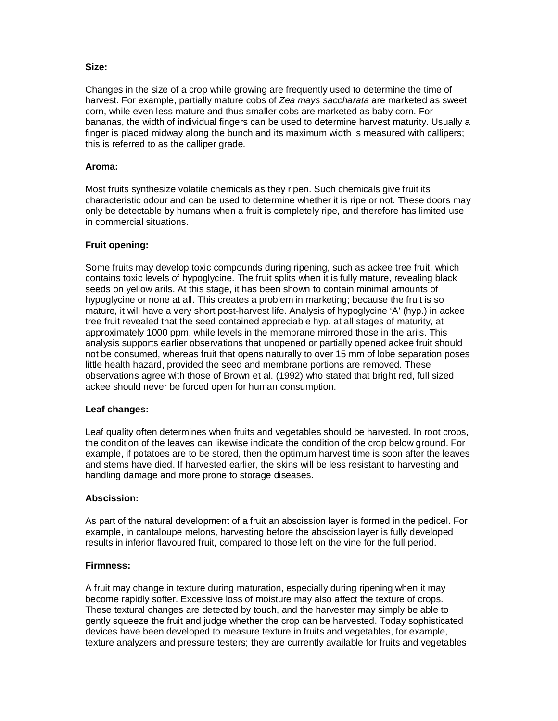#### **Size:**

Changes in the size of a crop while growing are frequently used to determine the time of harvest. For example, partially mature cobs of *Zea mays saccharata* are marketed as sweet corn, while even less mature and thus smaller cobs are marketed as baby corn. For bananas, the width of individual fingers can be used to determine harvest maturity. Usually a finger is placed midway along the bunch and its maximum width is measured with callipers; this is referred to as the calliper grade.

#### **Aroma:**

Most fruits synthesize volatile chemicals as they ripen. Such chemicals give fruit its characteristic odour and can be used to determine whether it is ripe or not. These doors may only be detectable by humans when a fruit is completely ripe, and therefore has limited use in commercial situations.

#### **Fruit opening:**

Some fruits may develop toxic compounds during ripening, such as ackee tree fruit, which contains toxic levels of hypoglycine. The fruit splits when it is fully mature, revealing black seeds on yellow arils. At this stage, it has been shown to contain minimal amounts of hypoglycine or none at all. This creates a problem in marketing; because the fruit is so mature, it will have a very short post-harvest life. Analysis of hypoglycine 'A' (hyp.) in ackee tree fruit revealed that the seed contained appreciable hyp. at all stages of maturity, at approximately 1000 ppm, while levels in the membrane mirrored those in the arils. This analysis supports earlier observations that unopened or partially opened ackee fruit should not be consumed, whereas fruit that opens naturally to over 15 mm of lobe separation poses little health hazard, provided the seed and membrane portions are removed. These observations agree with those of Brown et al. (1992) who stated that bright red, full sized ackee should never be forced open for human consumption.

#### **Leaf changes:**

Leaf quality often determines when fruits and vegetables should be harvested. In root crops, the condition of the leaves can likewise indicate the condition of the crop below ground. For example, if potatoes are to be stored, then the optimum harvest time is soon after the leaves and stems have died. If harvested earlier, the skins will be less resistant to harvesting and handling damage and more prone to storage diseases.

#### **Abscission:**

As part of the natural development of a fruit an abscission layer is formed in the pedicel. For example, in cantaloupe melons, harvesting before the abscission layer is fully developed results in inferior flavoured fruit, compared to those left on the vine for the full period.

#### **Firmness:**

A fruit may change in texture during maturation, especially during ripening when it may become rapidly softer. Excessive loss of moisture may also affect the texture of crops. These textural changes are detected by touch, and the harvester may simply be able to gently squeeze the fruit and judge whether the crop can be harvested. Today sophisticated devices have been developed to measure texture in fruits and vegetables, for example, texture analyzers and pressure testers; they are currently available for fruits and vegetables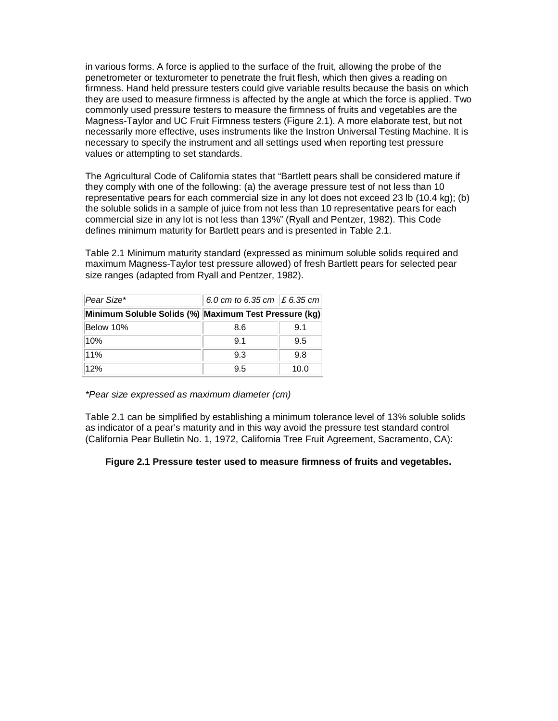in various forms. A force is applied to the surface of the fruit, allowing the probe of the penetrometer or texturometer to penetrate the fruit flesh, which then gives a reading on firmness. Hand held pressure testers could give variable results because the basis on which they are used to measure firmness is affected by the angle at which the force is applied. Two commonly used pressure testers to measure the firmness of fruits and vegetables are the Magness-Taylor and UC Fruit Firmness testers (Figure 2.1). A more elaborate test, but not necessarily more effective, uses instruments like the Instron Universal Testing Machine. It is necessary to specify the instrument and all settings used when reporting test pressure values or attempting to set standards.

The Agricultural Code of California states that "Bartlett pears shall be considered mature if they comply with one of the following: (a) the average pressure test of not less than 10 representative pears for each commercial size in any lot does not exceed 23 lb (10.4 kg); (b) the soluble solids in a sample of juice from not less than 10 representative pears for each commercial size in any lot is not less than 13%" (Ryall and Pentzer, 1982). This Code defines minimum maturity for Bartlett pears and is presented in Table 2.1.

Table 2.1 Minimum maturity standard (expressed as minimum soluble solids required and maximum Magness-Taylor test pressure allowed) of fresh Bartlett pears for selected pear size ranges (adapted from Ryall and Pentzer, 1982).

| Pear Size*                                            | 6.0 cm to 6.35 cm $\mathcal{E}$ 6.35 cm |      |
|-------------------------------------------------------|-----------------------------------------|------|
| Minimum Soluble Solids (%) Maximum Test Pressure (kg) |                                         |      |
| Below 10%                                             | 8.6                                     | 9.1  |
| 10%                                                   | 9.1                                     | 9.5  |
| 11%                                                   | 9.3                                     | 9.8  |
| 12%                                                   | 9.5                                     | 10.0 |

*\*Pear size expressed as maximum diameter (cm)*

Table 2.1 can be simplified by establishing a minimum tolerance level of 13% soluble solids as indicator of a pear's maturity and in this way avoid the pressure test standard control (California Pear Bulletin No. 1, 1972, California Tree Fruit Agreement, Sacramento, CA):

#### **Figure 2.1 Pressure tester used to measure firmness of fruits and vegetables.**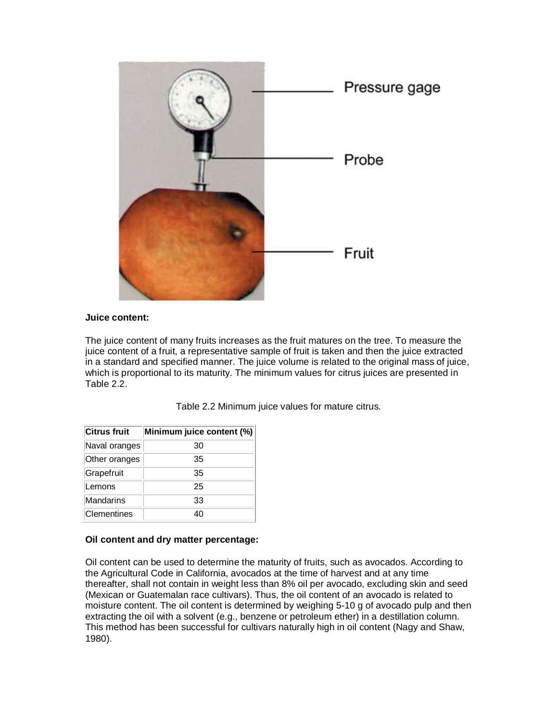

#### **Juice content:**

The juice content of many fruits increases as the fruit matures on the tree. To measure the juice content of a fruit, a representative sample of fruit is taken and then the juice extracted in a standard and specified manner. The juice volume is related to the original mass of juice, which is proportional to its maturity. The minimum values for citrus juices are presented in Table 2.2.

| <b>Citrus fruit</b> | Minimum juice content (%) |
|---------------------|---------------------------|
| Naval oranges       | 30                        |
| Other oranges       | 35                        |
| Grapefruit          | 35                        |
| Lemons              | 25                        |
| Mandarins           | 33                        |
| <b>Clementines</b>  | 40                        |

Table 2.2 Minimum juice values for mature citrus.

#### **Oil content and dry matter percentage:**

Oil content can be used to determine the maturity of fruits, such as avocados. According to the Agricultural Code in California, avocados at the time of harvest and at any time thereafter, shall not contain in weight less than 8% oil per avocado, excluding skin and seed (Mexican or Guatemalan race cultivars). Thus, the oil content of an avocado is related to moisture content. The oil content is determined by weighing 5-10 g of avocado pulp and then extracting the oil with a solvent (e.g., benzene or petroleum ether) in a destillation column. This method has been successful for cultivars naturally high in oil content (Nagy and Shaw, 1980).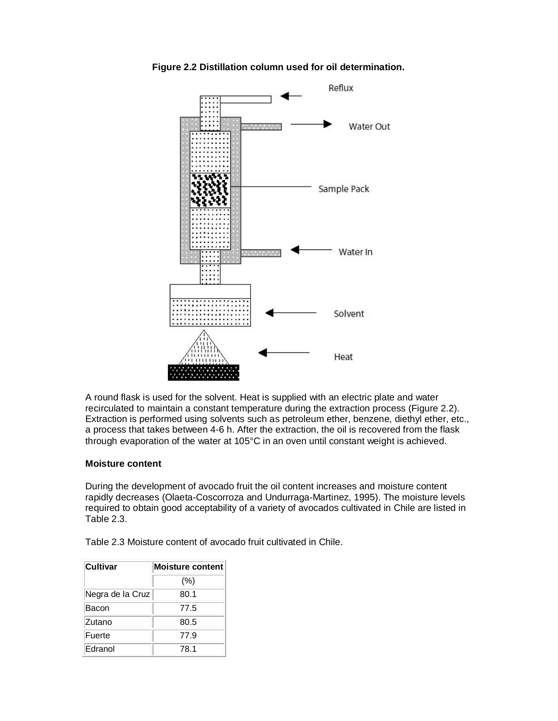

**Figure 2.2 Distillation column used for oil determination.**

A round flask is used for the solvent. Heat is supplied with an electric plate and water recirculated to maintain a constant temperature during the extraction process (Figure 2.2). Extraction is performed using solvents such as petroleum ether, benzene, diethyl ether, etc., a process that takes between 4-6 h. After the extraction, the oil is recovered from the flask through evaporation of the water at 105°C in an oven until constant weight is achieved.

#### **Moisture content**

During the development of avocado fruit the oil content increases and moisture content rapidly decreases (Olaeta-Coscorroza and Undurraga-Martinez, 1995). The moisture levels required to obtain good acceptability of a variety of avocados cultivated in Chile are listed in Table 2.3.

Table 2.3 Moisture content of avocado fruit cultivated in Chile.

| Cultivar         | <b>Moisture content</b> |  |  |
|------------------|-------------------------|--|--|
|                  | (%)                     |  |  |
| Negra de la Cruz | 80.1                    |  |  |
| Bacon            | 77.5                    |  |  |
| Zutano           | 80.5                    |  |  |
| Fuerte           | 77.9                    |  |  |
| Edranol          | 78.1                    |  |  |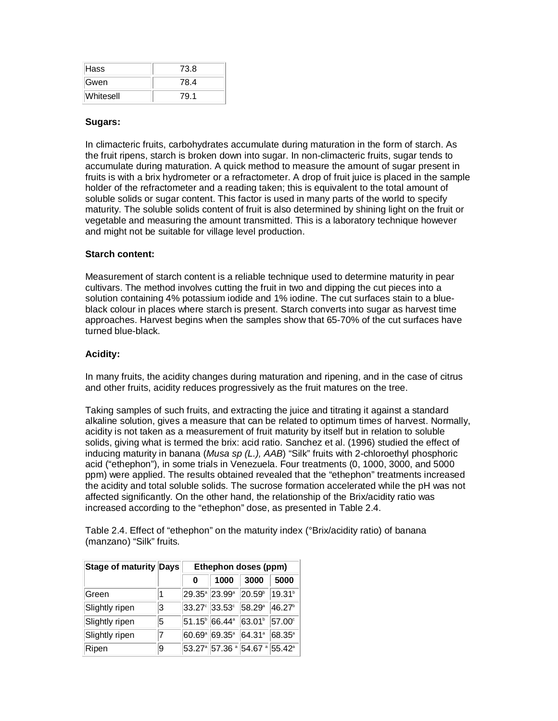| <b>Hass</b> | 73.8 |
|-------------|------|
| Gwen        | 78.4 |
| Whitesell   | 79.1 |

#### **Sugars:**

In climacteric fruits, carbohydrates accumulate during maturation in the form of starch. As the fruit ripens, starch is broken down into sugar. In non-climacteric fruits, sugar tends to accumulate during maturation. A quick method to measure the amount of sugar present in fruits is with a brix hydrometer or a refractometer. A drop of fruit juice is placed in the sample holder of the refractometer and a reading taken; this is equivalent to the total amount of soluble solids or sugar content. This factor is used in many parts of the world to specify maturity. The soluble solids content of fruit is also determined by shining light on the fruit or vegetable and measuring the amount transmitted. This is a laboratory technique however and might not be suitable for village level production.

#### **Starch content:**

Measurement of starch content is a reliable technique used to determine maturity in pear cultivars. The method involves cutting the fruit in two and dipping the cut pieces into a solution containing 4% potassium iodide and 1% iodine. The cut surfaces stain to a blueblack colour in places where starch is present. Starch converts into sugar as harvest time approaches. Harvest begins when the samples show that 65-70% of the cut surfaces have turned blue-black.

#### **Acidity:**

In many fruits, the acidity changes during maturation and ripening, and in the case of citrus and other fruits, acidity reduces progressively as the fruit matures on the tree.

Taking samples of such fruits, and extracting the juice and titrating it against a standard alkaline solution, gives a measure that can be related to optimum times of harvest. Normally, acidity is not taken as a measurement of fruit maturity by itself but in relation to soluble solids, giving what is termed the brix: acid ratio. Sanchez et al. (1996) studied the effect of inducing maturity in banana (*Musa sp (L.), AAB*) "Silk" fruits with 2-chloroethyl phosphoric acid ("ethephon"), in some trials in Venezuela. Four treatments (0, 1000, 3000, and 5000 ppm) were applied. The results obtained revealed that the "ethephon" treatments increased the acidity and total soluble solids. The sucrose formation accelerated while the pH was not affected significantly. On the other hand, the relationship of the Brix/acidity ratio was increased according to the "ethephon" dose, as presented in Table 2.4.

Table 2.4. Effect of "ethephon" on the maturity index (°Brix/acidity ratio) of banana (manzano) "Silk" fruits*.*

| <b>Stage of maturity Days</b> |   | Ethephon doses (ppm) |                                                       |                                                          |                    |
|-------------------------------|---|----------------------|-------------------------------------------------------|----------------------------------------------------------|--------------------|
|                               |   | 0                    | 1000                                                  | 3000                                                     | 5000               |
| Green                         | 1 |                      | 29.35 <sup>a</sup> 23.99 <sup>a</sup>                 | $20.59^{\circ}$                                          | 19.31 <sup>b</sup> |
| Slightly ripen                | 3 |                      | 33.27° 33.53° 58.29 <sup>a</sup>                      |                                                          | 46.27 <sup>b</sup> |
| Slightly ripen                | 5 |                      | $51.15^{\circ}$ 66.44 <sup>a</sup> 63.01 <sup>b</sup> |                                                          | $57.00^\circ$      |
| Slightly ripen                | 7 |                      | $60.69$ <sup>a</sup> 69.35 <sup>a</sup>               | $64.31$ <sup>a</sup>                                     | $68.35^{\circ}$    |
| Ripen                         | 9 |                      |                                                       | 53.27 <sup>a</sup> 57.36 <sup>a</sup> 54.67 <sup>a</sup> | $55.42^{\circ}$    |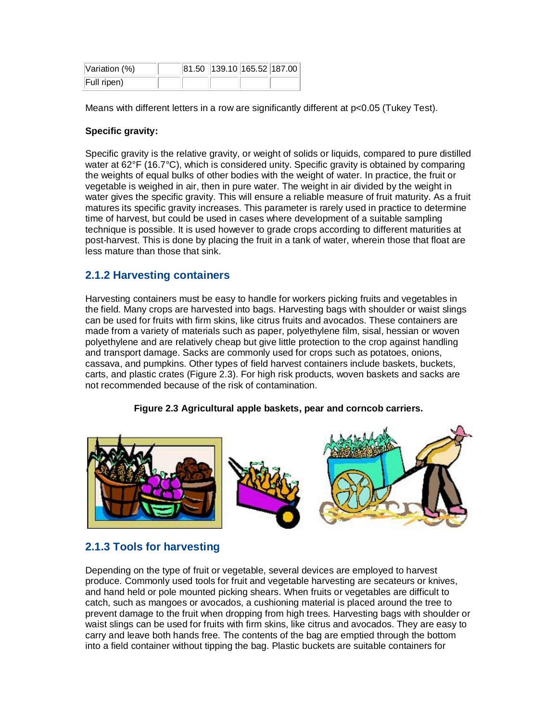| Variation $(\%)$ | 81.50 139.10 165.52 187.00 |  |
|------------------|----------------------------|--|
| $ Full$ ripen)   |                            |  |

Means with different letters in a row are significantly different at p<0.05 (Tukey Test).

#### **Specific gravity:**

Specific gravity is the relative gravity, or weight of solids or liquids, compared to pure distilled water at 62°F (16.7°C), which is considered unity. Specific gravity is obtained by comparing the weights of equal bulks of other bodies with the weight of water. In practice, the fruit or vegetable is weighed in air, then in pure water. The weight in air divided by the weight in water gives the specific gravity. This will ensure a reliable measure of fruit maturity. As a fruit matures its specific gravity increases. This parameter is rarely used in practice to determine time of harvest, but could be used in cases where development of a suitable sampling technique is possible. It is used however to grade crops according to different maturities at post-harvest. This is done by placing the fruit in a tank of water, wherein those that float are less mature than those that sink.

# **2.1.2 Harvesting containers**

Harvesting containers must be easy to handle for workers picking fruits and vegetables in the field. Many crops are harvested into bags. Harvesting bags with shoulder or waist slings can be used for fruits with firm skins, like citrus fruits and avocados. These containers are made from a variety of materials such as paper, polyethylene film, sisal, hessian or woven polyethylene and are relatively cheap but give little protection to the crop against handling and transport damage. Sacks are commonly used for crops such as potatoes, onions, cassava, and pumpkins. Other types of field harvest containers include baskets, buckets, carts, and plastic crates (Figure 2.3). For high risk products, woven baskets and sacks are not recommended because of the risk of contamination.

## **Figure 2.3 Agricultural apple baskets, pear and corncob carriers.**



# **2.1.3 Tools for harvesting**

Depending on the type of fruit or vegetable, several devices are employed to harvest produce. Commonly used tools for fruit and vegetable harvesting are secateurs or knives, and hand held or pole mounted picking shears. When fruits or vegetables are difficult to catch, such as mangoes or avocados, a cushioning material is placed around the tree to prevent damage to the fruit when dropping from high trees. Harvesting bags with shoulder or waist slings can be used for fruits with firm skins, like citrus and avocados. They are easy to carry and leave both hands free. The contents of the bag are emptied through the bottom into a field container without tipping the bag. Plastic buckets are suitable containers for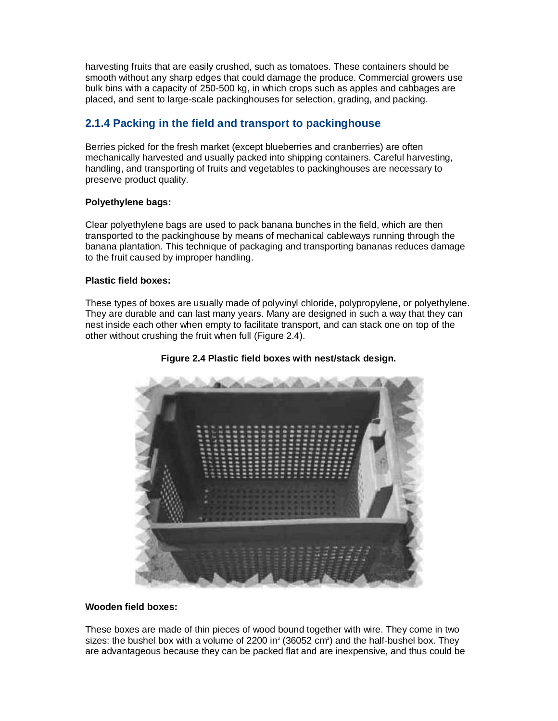harvesting fruits that are easily crushed, such as tomatoes. These containers should be smooth without any sharp edges that could damage the produce. Commercial growers use bulk bins with a capacity of 250-500 kg, in which crops such as apples and cabbages are placed, and sent to large-scale packinghouses for selection, grading, and packing.

# **2.1.4 Packing in the field and transport to packinghouse**

Berries picked for the fresh market (except blueberries and cranberries) are often mechanically harvested and usually packed into shipping containers. Careful harvesting, handling, and transporting of fruits and vegetables to packinghouses are necessary to preserve product quality.

#### **Polyethylene bags:**

Clear polyethylene bags are used to pack banana bunches in the field, which are then transported to the packinghouse by means of mechanical cableways running through the banana plantation. This technique of packaging and transporting bananas reduces damage to the fruit caused by improper handling.

#### **Plastic field boxes:**

These types of boxes are usually made of polyvinyl chloride, polypropylene, or polyethylene. They are durable and can last many years. Many are designed in such a way that they can nest inside each other when empty to facilitate transport, and can stack one on top of the other without crushing the fruit when full (Figure 2.4).

# and a contact

#### **Figure 2.4 Plastic field boxes with nest/stack design.**

#### **Wooden field boxes:**

These boxes are made of thin pieces of wood bound together with wire. They come in two sizes: the bushel box with a volume of 2200 in $^{\circ}$  (36052 cm $^{\circ}$ ) and the half-bushel box. They are advantageous because they can be packed flat and are inexpensive, and thus could be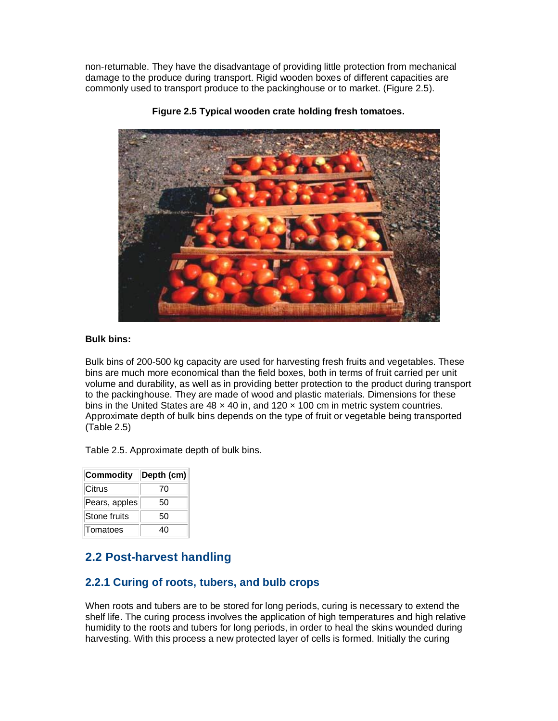non-returnable. They have the disadvantage of providing little protection from mechanical damage to the produce during transport. Rigid wooden boxes of different capacities are commonly used to transport produce to the packinghouse or to market. (Figure 2.5).



**Figure 2.5 Typical wooden crate holding fresh tomatoes.**

#### **Bulk bins:**

Bulk bins of 200-500 kg capacity are used for harvesting fresh fruits and vegetables. These bins are much more economical than the field boxes, both in terms of fruit carried per unit volume and durability, as well as in providing better protection to the product during transport to the packinghouse. They are made of wood and plastic materials. Dimensions for these bins in the United States are 48  $\times$  40 in, and 120  $\times$  100 cm in metric system countries. Approximate depth of bulk bins depends on the type of fruit or vegetable being transported (Table 2.5)

Table 2.5. Approximate depth of bulk bins.

| Commodity     | Depth (cm) |  |  |
|---------------|------------|--|--|
| lCitrus       | 70         |  |  |
| Pears, apples | 50         |  |  |
| Stone fruits  | 50         |  |  |
| Tomatoes      | 40         |  |  |

# **2.2 Post-harvest handling**

# **2.2.1 Curing of roots, tubers, and bulb crops**

When roots and tubers are to be stored for long periods, curing is necessary to extend the shelf life. The curing process involves the application of high temperatures and high relative humidity to the roots and tubers for long periods, in order to heal the skins wounded during harvesting. With this process a new protected layer of cells is formed. Initially the curing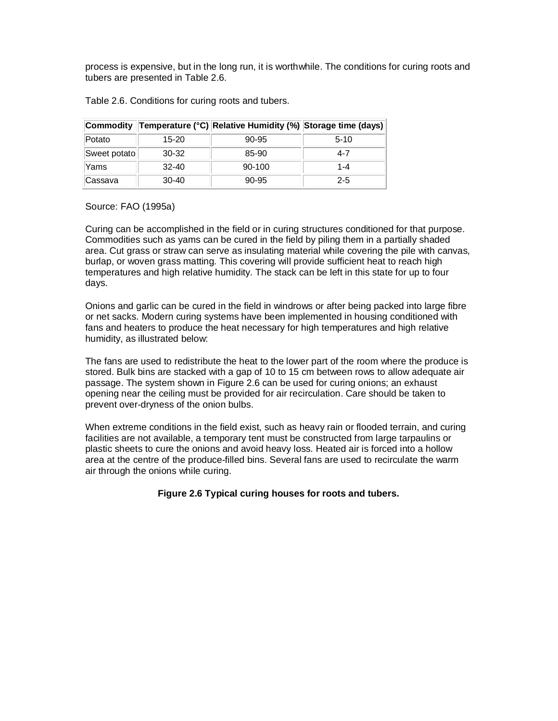process is expensive, but in the long run, it is worthwhile. The conditions for curing roots and tubers are presented in Table 2.6.

|              |           | Commodity Temperature (°C) Relative Humidity (%) Storage time (days) |         |
|--------------|-----------|----------------------------------------------------------------------|---------|
| Potato       | $15 - 20$ | 90-95                                                                | $5-10$  |
| Sweet potato | $30-32$   | 85-90                                                                | 4-7     |
| Yams         | $32 - 40$ | 90-100                                                               | $1 - 4$ |
| Cassava      | $30 - 40$ | 90-95                                                                | $2 - 5$ |

Table 2.6. Conditions for curing roots and tubers.

Source: FAO (1995a)

Curing can be accomplished in the field or in curing structures conditioned for that purpose. Commodities such as yams can be cured in the field by piling them in a partially shaded area. Cut grass or straw can serve as insulating material while covering the pile with canvas, burlap, or woven grass matting. This covering will provide sufficient heat to reach high temperatures and high relative humidity. The stack can be left in this state for up to four days.

Onions and garlic can be cured in the field in windrows or after being packed into large fibre or net sacks. Modern curing systems have been implemented in housing conditioned with fans and heaters to produce the heat necessary for high temperatures and high relative humidity, as illustrated below:

The fans are used to redistribute the heat to the lower part of the room where the produce is stored. Bulk bins are stacked with a gap of 10 to 15 cm between rows to allow adequate air passage. The system shown in Figure 2.6 can be used for curing onions; an exhaust opening near the ceiling must be provided for air recirculation. Care should be taken to prevent over-dryness of the onion bulbs.

When extreme conditions in the field exist, such as heavy rain or flooded terrain, and curing facilities are not available, a temporary tent must be constructed from large tarpaulins or plastic sheets to cure the onions and avoid heavy loss. Heated air is forced into a hollow area at the centre of the produce-filled bins. Several fans are used to recirculate the warm air through the onions while curing.

**Figure 2.6 Typical curing houses for roots and tubers.**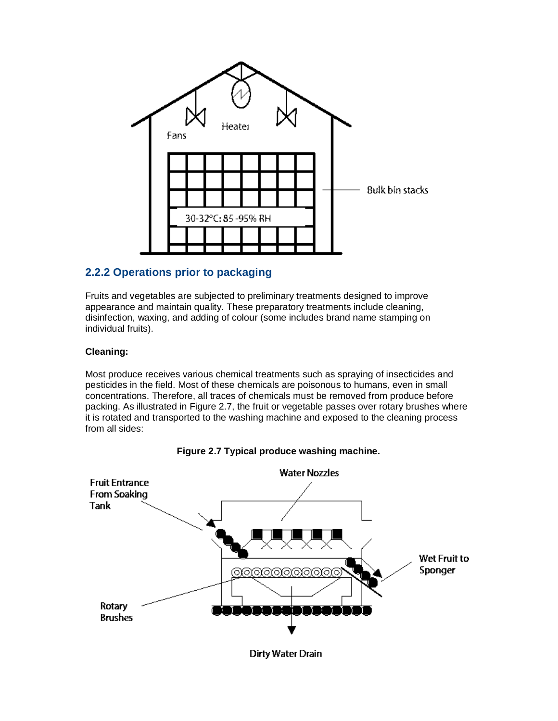

# **2.2.2 Operations prior to packaging**

Fruits and vegetables are subjected to preliminary treatments designed to improve appearance and maintain quality. These preparatory treatments include cleaning, disinfection, waxing, and adding of colour (some includes brand name stamping on individual fruits).

#### **Cleaning:**

Most produce receives various chemical treatments such as spraying of insecticides and pesticides in the field. Most of these chemicals are poisonous to humans, even in small concentrations. Therefore, all traces of chemicals must be removed from produce before packing. As illustrated in Figure 2.7, the fruit or vegetable passes over rotary brushes where it is rotated and transported to the washing machine and exposed to the cleaning process from all sides:



**Figure 2.7 Typical produce washing machine.**

Dirty Water Drain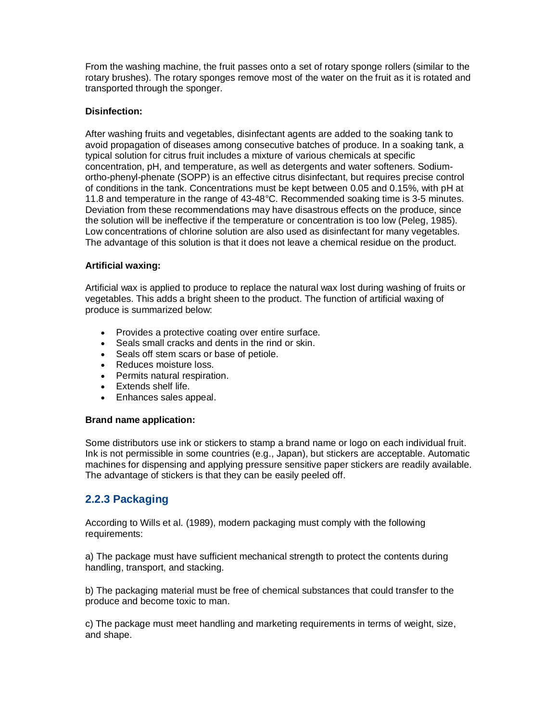From the washing machine, the fruit passes onto a set of rotary sponge rollers (similar to the rotary brushes). The rotary sponges remove most of the water on the fruit as it is rotated and transported through the sponger.

#### **Disinfection:**

After washing fruits and vegetables, disinfectant agents are added to the soaking tank to avoid propagation of diseases among consecutive batches of produce. In a soaking tank, a typical solution for citrus fruit includes a mixture of various chemicals at specific concentration, pH, and temperature, as well as detergents and water softeners. Sodiumortho-phenyl-phenate (SOPP) is an effective citrus disinfectant, but requires precise control of conditions in the tank. Concentrations must be kept between 0.05 and 0.15%, with pH at 11.8 and temperature in the range of 43-48°C. Recommended soaking time is 3-5 minutes. Deviation from these recommendations may have disastrous effects on the produce, since the solution will be ineffective if the temperature or concentration is too low (Peleg, 1985). Low concentrations of chlorine solution are also used as disinfectant for many vegetables. The advantage of this solution is that it does not leave a chemical residue on the product.

#### **Artificial waxing:**

Artificial wax is applied to produce to replace the natural wax lost during washing of fruits or vegetables. This adds a bright sheen to the product. The function of artificial waxing of produce is summarized below:

- Provides a protective coating over entire surface.
- Seals small cracks and dents in the rind or skin.
- Seals off stem scars or base of petiole.
- Reduces moisture loss.
- Permits natural respiration.
- Extends shelf life.
- Enhances sales appeal.

#### **Brand name application:**

Some distributors use ink or stickers to stamp a brand name or logo on each individual fruit. Ink is not permissible in some countries (e.g., Japan), but stickers are acceptable. Automatic machines for dispensing and applying pressure sensitive paper stickers are readily available. The advantage of stickers is that they can be easily peeled off.

# **2.2.3 Packaging**

According to Wills et al. (1989), modern packaging must comply with the following requirements:

a) The package must have sufficient mechanical strength to protect the contents during handling, transport, and stacking.

b) The packaging material must be free of chemical substances that could transfer to the produce and become toxic to man.

c) The package must meet handling and marketing requirements in terms of weight, size, and shape.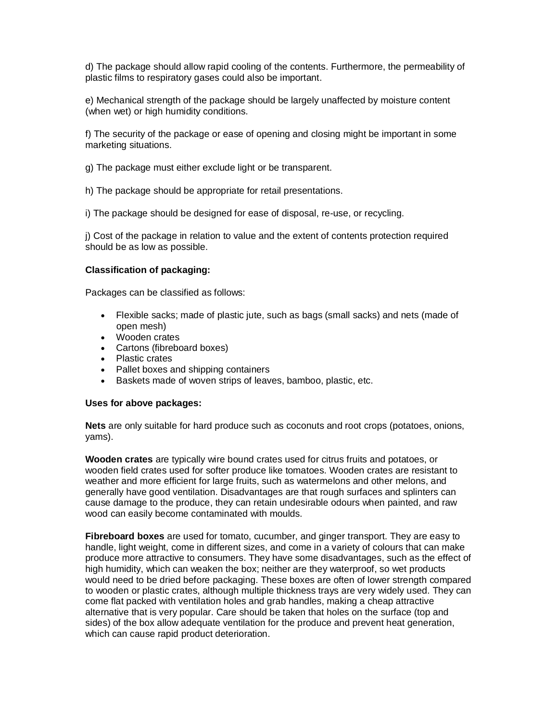d) The package should allow rapid cooling of the contents. Furthermore, the permeability of plastic films to respiratory gases could also be important.

e) Mechanical strength of the package should be largely unaffected by moisture content (when wet) or high humidity conditions.

f) The security of the package or ease of opening and closing might be important in some marketing situations.

g) The package must either exclude light or be transparent.

h) The package should be appropriate for retail presentations.

i) The package should be designed for ease of disposal, re-use, or recycling.

j) Cost of the package in relation to value and the extent of contents protection required should be as low as possible.

#### **Classification of packaging:**

Packages can be classified as follows:

- Flexible sacks; made of plastic jute, such as bags (small sacks) and nets (made of open mesh)
- Wooden crates
- Cartons (fibreboard boxes)
- Plastic crates
- Pallet boxes and shipping containers
- **Baskets made of woven strips of leaves, bamboo, plastic, etc.**

#### **Uses for above packages:**

**Nets** are only suitable for hard produce such as coconuts and root crops (potatoes, onions, yams).

**Wooden crates** are typically wire bound crates used for citrus fruits and potatoes, or wooden field crates used for softer produce like tomatoes. Wooden crates are resistant to weather and more efficient for large fruits, such as watermelons and other melons, and generally have good ventilation. Disadvantages are that rough surfaces and splinters can cause damage to the produce, they can retain undesirable odours when painted, and raw wood can easily become contaminated with moulds.

**Fibreboard boxes** are used for tomato, cucumber, and ginger transport. They are easy to handle, light weight, come in different sizes, and come in a variety of colours that can make produce more attractive to consumers. They have some disadvantages, such as the effect of high humidity, which can weaken the box; neither are they waterproof, so wet products would need to be dried before packaging. These boxes are often of lower strength compared to wooden or plastic crates, although multiple thickness trays are very widely used. They can come flat packed with ventilation holes and grab handles, making a cheap attractive alternative that is very popular. Care should be taken that holes on the surface (top and sides) of the box allow adequate ventilation for the produce and prevent heat generation, which can cause rapid product deterioration.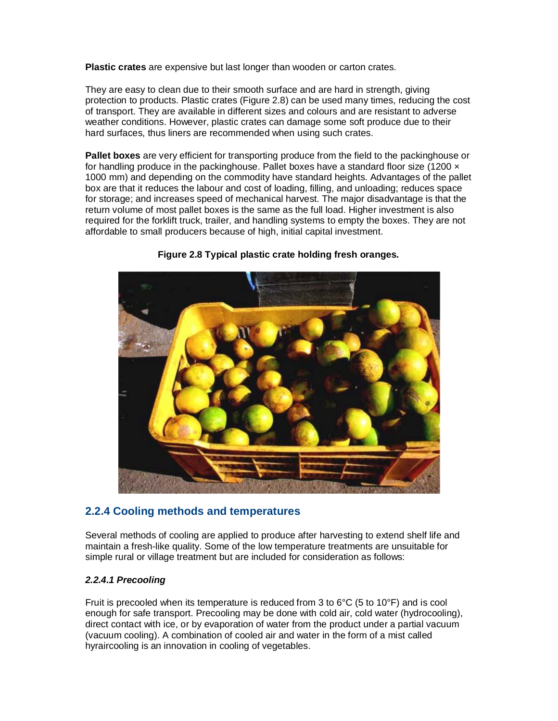**Plastic crates** are expensive but last longer than wooden or carton crates.

They are easy to clean due to their smooth surface and are hard in strength, giving protection to products. Plastic crates (Figure 2.8) can be used many times, reducing the cost of transport. They are available in different sizes and colours and are resistant to adverse weather conditions. However, plastic crates can damage some soft produce due to their hard surfaces, thus liners are recommended when using such crates.

**Pallet boxes** are very efficient for transporting produce from the field to the packinghouse or for handling produce in the packinghouse. Pallet boxes have a standard floor size  $(1200 \times$ 1000 mm) and depending on the commodity have standard heights. Advantages of the pallet box are that it reduces the labour and cost of loading, filling, and unloading; reduces space for storage; and increases speed of mechanical harvest. The major disadvantage is that the return volume of most pallet boxes is the same as the full load. Higher investment is also required for the forklift truck, trailer, and handling systems to empty the boxes. They are not affordable to small producers because of high, initial capital investment.



**Figure 2.8 Typical plastic crate holding fresh oranges***.*

## **2.2.4 Cooling methods and temperatures**

Several methods of cooling are applied to produce after harvesting to extend shelf life and maintain a fresh-like quality. Some of the low temperature treatments are unsuitable for simple rural or village treatment but are included for consideration as follows:

#### *2.2.4.1 Precooling*

Fruit is precooled when its temperature is reduced from 3 to  $6^{\circ}$ C (5 to 10 $^{\circ}$ F) and is cool enough for safe transport. Precooling may be done with cold air, cold water (hydrocooling), direct contact with ice, or by evaporation of water from the product under a partial vacuum (vacuum cooling). A combination of cooled air and water in the form of a mist called hyraircooling is an innovation in cooling of vegetables.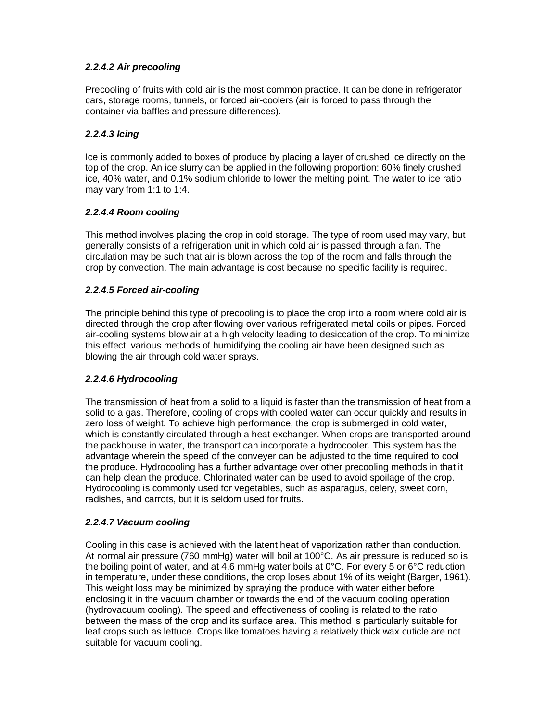## *2.2.4.2 Air precooling*

Precooling of fruits with cold air is the most common practice. It can be done in refrigerator cars, storage rooms, tunnels, or forced air-coolers (air is forced to pass through the container via baffles and pressure differences).

#### *2.2.4.3 Icing*

Ice is commonly added to boxes of produce by placing a layer of crushed ice directly on the top of the crop. An ice slurry can be applied in the following proportion: 60% finely crushed ice, 40% water, and 0.1% sodium chloride to lower the melting point. The water to ice ratio may vary from 1:1 to 1:4.

#### *2.2.4.4 Room cooling*

This method involves placing the crop in cold storage. The type of room used may vary, but generally consists of a refrigeration unit in which cold air is passed through a fan. The circulation may be such that air is blown across the top of the room and falls through the crop by convection. The main advantage is cost because no specific facility is required.

#### *2.2.4.5 Forced air-cooling*

The principle behind this type of precooling is to place the crop into a room where cold air is directed through the crop after flowing over various refrigerated metal coils or pipes. Forced air-cooling systems blow air at a high velocity leading to desiccation of the crop. To minimize this effect, various methods of humidifying the cooling air have been designed such as blowing the air through cold water sprays.

#### *2.2.4.6 Hydrocooling*

The transmission of heat from a solid to a liquid is faster than the transmission of heat from a solid to a gas. Therefore, cooling of crops with cooled water can occur quickly and results in zero loss of weight. To achieve high performance, the crop is submerged in cold water, which is constantly circulated through a heat exchanger. When crops are transported around the packhouse in water, the transport can incorporate a hydrocooler. This system has the advantage wherein the speed of the conveyer can be adjusted to the time required to cool the produce. Hydrocooling has a further advantage over other precooling methods in that it can help clean the produce. Chlorinated water can be used to avoid spoilage of the crop. Hydrocooling is commonly used for vegetables, such as asparagus, celery, sweet corn, radishes, and carrots, but it is seldom used for fruits.

#### *2.2.4.7 Vacuum cooling*

Cooling in this case is achieved with the latent heat of vaporization rather than conduction. At normal air pressure (760 mmHg) water will boil at 100°C. As air pressure is reduced so is the boiling point of water, and at 4.6 mmHg water boils at  $0^{\circ}$ C. For every 5 or  $6^{\circ}$ C reduction in temperature, under these conditions, the crop loses about 1% of its weight (Barger, 1961). This weight loss may be minimized by spraying the produce with water either before enclosing it in the vacuum chamber or towards the end of the vacuum cooling operation (hydrovacuum cooling). The speed and effectiveness of cooling is related to the ratio between the mass of the crop and its surface area. This method is particularly suitable for leaf crops such as lettuce. Crops like tomatoes having a relatively thick wax cuticle are not suitable for vacuum cooling.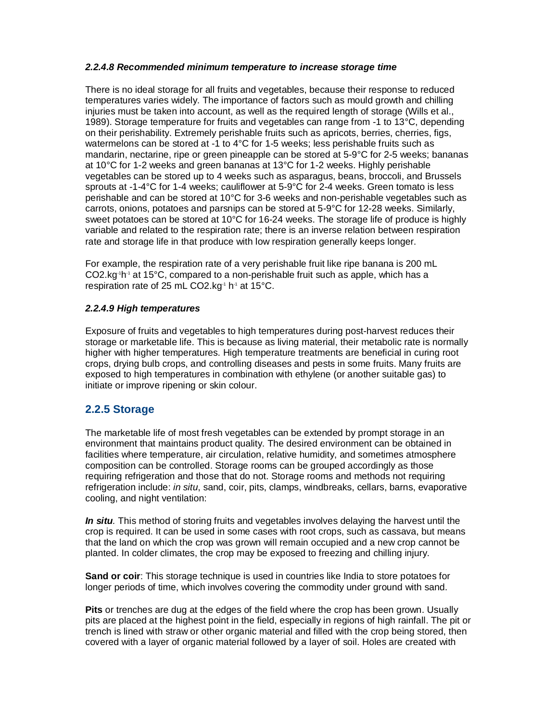#### *2.2.4.8 Recommended minimum temperature to increase storage time*

There is no ideal storage for all fruits and vegetables, because their response to reduced temperatures varies widely. The importance of factors such as mould growth and chilling injuries must be taken into account, as well as the required length of storage (Wills et al., 1989). Storage temperature for fruits and vegetables can range from -1 to 13°C, depending on their perishability. Extremely perishable fruits such as apricots, berries, cherries, figs, watermelons can be stored at -1 to 4°C for 1-5 weeks; less perishable fruits such as mandarin, nectarine, ripe or green pineapple can be stored at 5-9°C for 2-5 weeks; bananas at 10°C for 1-2 weeks and green bananas at 13°C for 1-2 weeks. Highly perishable vegetables can be stored up to 4 weeks such as asparagus, beans, broccoli, and Brussels sprouts at -1-4°C for 1-4 weeks; cauliflower at 5-9°C for 2-4 weeks. Green tomato is less perishable and can be stored at 10°C for 3-6 weeks and non-perishable vegetables such as carrots, onions, potatoes and parsnips can be stored at 5-9°C for 12-28 weeks. Similarly, sweet potatoes can be stored at 10°C for 16-24 weeks. The storage life of produce is highly variable and related to the respiration rate; there is an inverse relation between respiration rate and storage life in that produce with low respiration generally keeps longer.

For example, the respiration rate of a very perishable fruit like ripe banana is 200 mL CO2.kg<sup>-</sup>Ih<sup>-1</sup> at 15°C, compared to a non-perishable fruit such as apple, which has a respiration rate of 25 mL CO2.kg<sup>-1</sup> h<sup>-1</sup> at 15°C.

#### *2.2.4.9 High temperatures*

Exposure of fruits and vegetables to high temperatures during post-harvest reduces their storage or marketable life. This is because as living material, their metabolic rate is normally higher with higher temperatures. High temperature treatments are beneficial in curing root crops, drying bulb crops, and controlling diseases and pests in some fruits. Many fruits are exposed to high temperatures in combination with ethylene (or another suitable gas) to initiate or improve ripening or skin colour.

## **2.2.5 Storage**

The marketable life of most fresh vegetables can be extended by prompt storage in an environment that maintains product quality. The desired environment can be obtained in facilities where temperature, air circulation, relative humidity, and sometimes atmosphere composition can be controlled. Storage rooms can be grouped accordingly as those requiring refrigeration and those that do not. Storage rooms and methods not requiring refrigeration include: *in situ*, sand, coir, pits, clamps, windbreaks, cellars, barns, evaporative cooling, and night ventilation:

*In situ.* This method of storing fruits and vegetables involves delaying the harvest until the crop is required. It can be used in some cases with root crops, such as cassava, but means that the land on which the crop was grown will remain occupied and a new crop cannot be planted. In colder climates, the crop may be exposed to freezing and chilling injury.

**Sand or coir**: This storage technique is used in countries like India to store potatoes for longer periods of time, which involves covering the commodity under ground with sand.

**Pits** or trenches are dug at the edges of the field where the crop has been grown. Usually pits are placed at the highest point in the field, especially in regions of high rainfall. The pit or trench is lined with straw or other organic material and filled with the crop being stored, then covered with a layer of organic material followed by a layer of soil. Holes are created with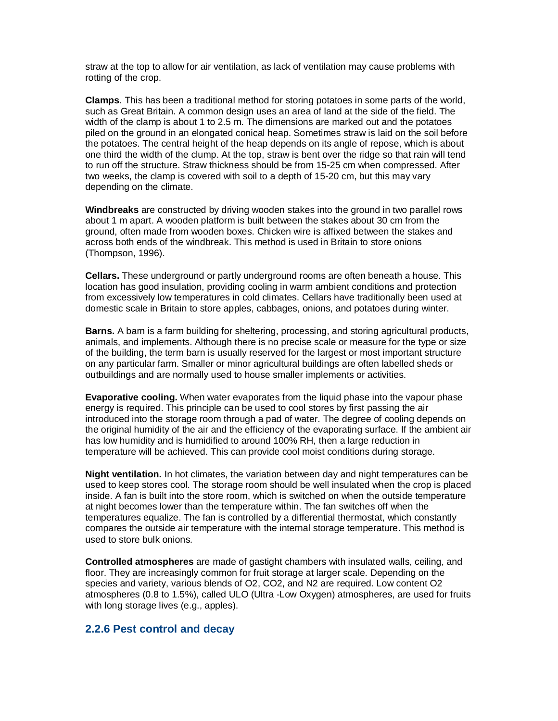straw at the top to allow for air ventilation, as lack of ventilation may cause problems with rotting of the crop.

**Clamps**. This has been a traditional method for storing potatoes in some parts of the world, such as Great Britain. A common design uses an area of land at the side of the field. The width of the clamp is about 1 to 2.5 m. The dimensions are marked out and the potatoes piled on the ground in an elongated conical heap. Sometimes straw is laid on the soil before the potatoes. The central height of the heap depends on its angle of repose, which is about one third the width of the clump. At the top, straw is bent over the ridge so that rain will tend to run off the structure. Straw thickness should be from 15-25 cm when compressed. After two weeks, the clamp is covered with soil to a depth of 15-20 cm, but this may vary depending on the climate.

**Windbreaks** are constructed by driving wooden stakes into the ground in two parallel rows about 1 m apart. A wooden platform is built between the stakes about 30 cm from the ground, often made from wooden boxes. Chicken wire is affixed between the stakes and across both ends of the windbreak. This method is used in Britain to store onions (Thompson, 1996).

**Cellars.** These underground or partly underground rooms are often beneath a house. This location has good insulation, providing cooling in warm ambient conditions and protection from excessively low temperatures in cold climates. Cellars have traditionally been used at domestic scale in Britain to store apples, cabbages, onions, and potatoes during winter.

**Barns.** A barn is a farm building for sheltering, processing, and storing agricultural products, animals, and implements. Although there is no precise scale or measure for the type or size of the building, the term barn is usually reserved for the largest or most important structure on any particular farm. Smaller or minor agricultural buildings are often labelled sheds or outbuildings and are normally used to house smaller implements or activities.

**Evaporative cooling.** When water evaporates from the liquid phase into the vapour phase energy is required. This principle can be used to cool stores by first passing the air introduced into the storage room through a pad of water. The degree of cooling depends on the original humidity of the air and the efficiency of the evaporating surface. If the ambient air has low humidity and is humidified to around 100% RH, then a large reduction in temperature will be achieved. This can provide cool moist conditions during storage.

**Night ventilation.** In hot climates, the variation between day and night temperatures can be used to keep stores cool. The storage room should be well insulated when the crop is placed inside. A fan is built into the store room, which is switched on when the outside temperature at night becomes lower than the temperature within. The fan switches off when the temperatures equalize. The fan is controlled by a differential thermostat, which constantly compares the outside air temperature with the internal storage temperature. This method is used to store bulk onions.

**Controlled atmospheres** are made of gastight chambers with insulated walls, ceiling, and floor. They are increasingly common for fruit storage at larger scale. Depending on the species and variety, various blends of O2, CO2, and N2 are required. Low content O2 atmospheres (0.8 to 1.5%), called ULO (Ultra -Low Oxygen) atmospheres, are used for fruits with long storage lives (e.g., apples).

#### **2.2.6 Pest control and decay**